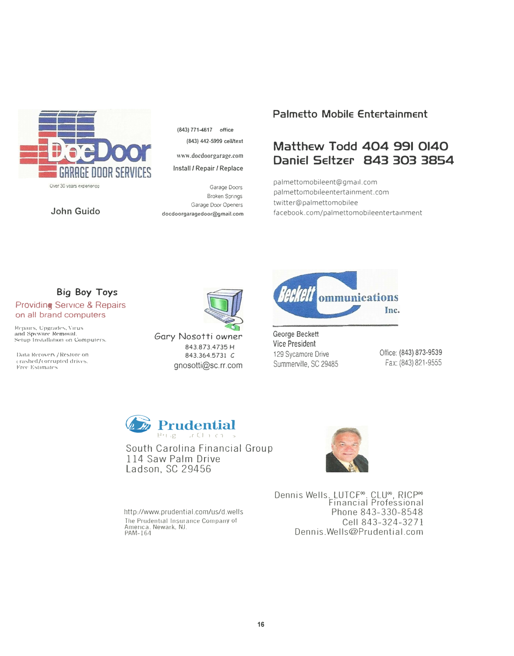

Over 30 years experience

John Guido

(843) 771-4617 office (843) 442-5999 cell/text

www.docdoorgarage.com

Install / Repair / Replace

Garage Doors **Broken Springs** Garage Door Openers docdoorgaragedoor@gmail.com

## **Palmetto Mobile Entertainment**

## Matthew Todd 404 991 0140 Daniel Seltzer 843 303 3854

palmettomobileent@gmail.com palmettomobileentertainment.com twitter@palmettomobilee facebook.com/palmettomobileentertainment

## **Big Boy Toys Providing Service & Repairs**

## on all brand computers

Repairs, Upgrades, Virus<br>and Spyware Removal. Setup Installation on Computers.

Data Recovery / Restore on crashed/corrupted drives. Free Estimates



Gary Nosotti owner 843.873.4735 H 843,364,5731 C gnosotti@sc.rr.com



George Beckett **Vice President** 129 Sycamore Drive Summerville, SC 29485

Office: (843) 873-9539 Fax: (843) 821-9555



South Carolina Financial Group 114 Saw Palm Drive Ladson, SC 29456

http://www.prudential.com/us/d.wells The Prudential Insurance Company of America, Newark, NJ.<br>PAM-164

Dennis Wells. LUTCF<sup>®</sup>, CLU®, RICP® Financial Professional Phone 843-330-8548 Cell 843-324-3271 Dennis Wells@Prudential.com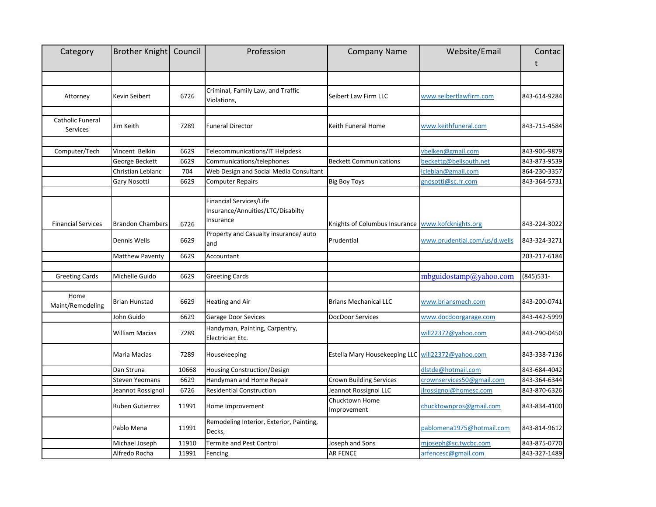| Category                     | Brother Knight   Council |       | Profession                                                                | <b>Company Name</b>                                 | Website/Email                 | Contac       |
|------------------------------|--------------------------|-------|---------------------------------------------------------------------------|-----------------------------------------------------|-------------------------------|--------------|
|                              |                          |       |                                                                           |                                                     |                               | t            |
|                              |                          |       |                                                                           |                                                     |                               |              |
| Attorney                     | Kevin Seibert            | 6726  | Criminal, Family Law, and Traffic<br>Violations,                          | Seibert Law Firm LLC                                | www.seibertlawfirm.com        | 843-614-9284 |
| Catholic Funeral<br>Services | Jim Keith                | 7289  | <b>Funeral Director</b>                                                   | Keith Funeral Home                                  | www.keithfuneral.com          | 843-715-4584 |
| Computer/Tech                | Vincent Belkin           | 6629  | Telecommunications/IT Helpdesk                                            |                                                     | vbelken@gmail.com             | 843-906-9879 |
|                              | George Beckett           | 6629  | Communications/telephones                                                 | <b>Beckett Communications</b>                       | beckettg@bellsouth.net        | 843-873-9539 |
|                              | Christian Leblanc        | 704   | Web Design and Social Media Consultant                                    |                                                     | cleblan@gmail.com             | 864-230-3357 |
|                              | Gary Nosotti             | 6629  | Computer Repairs                                                          | <b>Big Boy Toys</b>                                 | gnosotti@sc.rr.com            | 843-364-5731 |
|                              |                          |       |                                                                           |                                                     |                               |              |
| <b>Financial Services</b>    | <b>Brandon Chambers</b>  | 6726  | Financial Services/Life<br>Insurance/Annuities/LTC/Disabilty<br>Insurance | Knights of Columbus Insurance   www.kofcknights.org |                               | 843-224-3022 |
|                              | Dennis Wells             | 6629  | Property and Casualty insurance/ auto<br>and                              | Prudential                                          | www.prudential.com/us/d.wells | 843-324-3271 |
|                              | <b>Matthew Paventy</b>   | 6629  | Accountant                                                                |                                                     |                               | 203-217-6184 |
| <b>Greeting Cards</b>        | Michelle Guido           | 6629  | Greeting Cards                                                            |                                                     | mbguidostamp@yahoo.com        | $(845)$ 531- |
|                              |                          |       |                                                                           |                                                     |                               |              |
| Home<br>Maint/Remodeling     | Brian Hunstad            | 6629  | <b>Heating and Air</b>                                                    | <b>Brians Mechanical LLC</b>                        | www.briansmech.com            | 843-200-0741 |
|                              | John Guido               | 6629  | Garage Door Sevices                                                       | DocDoor Services                                    | www.docdoorgarage.com         | 843-442-5999 |
|                              | William Macias           | 7289  | Handyman, Painting, Carpentry,<br>Electrician Etc.                        |                                                     | will22372@yahoo.com           | 843-290-0450 |
|                              | Maria Macias             | 7289  | Housekeeping                                                              | Estella Mary Housekeeping LLC will22372@yahoo.com   |                               | 843-338-7136 |
|                              | Dan Struna               | 10668 | Housing Construction/Design                                               |                                                     | dlstde@hotmail.com            | 843-684-4042 |
|                              | <b>Steven Yeomans</b>    | 6629  | Handyman and Home Repair                                                  | <b>Crown Building Services</b>                      | crownservices50@gmail.com     | 843-364-6344 |
|                              | Jeannot Rossignol        | 6726  | <b>Residential Construction</b>                                           | Jeannot Rossignol LLC                               | jlrossignol@homesc.com        | 843-870-6326 |
|                              | Ruben Gutierrez          | 11991 | Home Improvement                                                          | Chucktown Home<br>Improvement                       | chucktownpros@gmail.com       | 843-834-4100 |
|                              | Pablo Mena               | 11991 | Remodeling Interior, Exterior, Painting,<br>Decks,                        |                                                     | pablomena1975@hotmail.com     | 843-814-9612 |
|                              | Michael Joseph           | 11910 | <b>Termite and Pest Control</b>                                           | Joseph and Sons                                     | mjoseph@sc.twcbc.com          | 843-875-0770 |
|                              | Alfredo Rocha            | 11991 | Fencing                                                                   | <b>AR FENCE</b>                                     | arfencesc@gmail.com           | 843-327-1489 |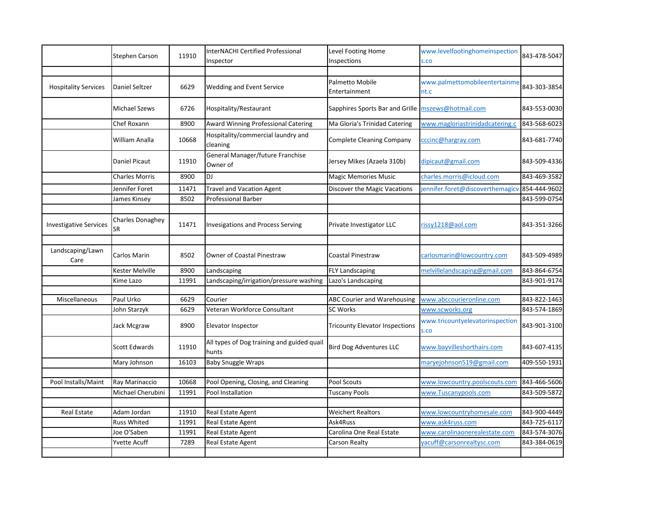|                               | Stephen Carson                | 11910 | InterNACHI Certified Professional<br>Inspector      | Level Footing Home<br>Inspections     | www.levelfootinghomeinspection<br>s.co  | 843-478-5047 |
|-------------------------------|-------------------------------|-------|-----------------------------------------------------|---------------------------------------|-----------------------------------------|--------------|
|                               |                               |       |                                                     |                                       |                                         |              |
| <b>Hospitality Services</b>   | Daniel Seltzer                | 6629  | Wedding and Event Service                           | Palmetto Mobile<br>Entertainment      | www.palmettomobileentertainme<br>nt.c   | 843-303-3854 |
|                               | Michael Szews                 | 6726  | Hospitality/Restaurant                              | Sapphires Sports Bar and Grille       | mszews@hotmail.com                      | 843-553-0030 |
|                               | Chef Roxann                   | 8900  | <b>Award Winning Professional Catering</b>          | Ma Gloria's Trinidad Catering         | www.magloriastrinidadcatering.c         | 843-568-6023 |
|                               | William Analla                | 10668 | Hospitality/commercial laundry and<br>cleaning      | <b>Complete Cleaning Company</b>      | cccinc@hargray.com                      | 843-681-7740 |
|                               | Daniel Picaut                 | 11910 | General Manager/future Franchise<br>Owner of        | Jersey Mikes (Azaela 310b)            | dipicaut@gmail.com                      | 843-509-4336 |
|                               | <b>Charles Morris</b>         | 8900  | <b>DJ</b>                                           | <b>Magic Memories Music</b>           | charles.morris@icloud.com               | 843-469-3582 |
|                               | Jennifer Foret                | 11471 | <b>Travel and Vacation Agent</b>                    | Discover the Magic Vacations          | jennifer.foret@discoverthemagicv        | 854-444-9602 |
|                               | James Kinsey                  | 8502  | <b>Professional Barber</b>                          |                                       |                                         | 843-599-0754 |
|                               |                               |       |                                                     |                                       |                                         |              |
| <b>Investigative Services</b> | <b>Charles Donaghey</b><br>SR | 11471 | <b>Invesigations and Process Serving</b>            | Private Investigator LLC              | rissy1218@aol.com                       | 843-351-3266 |
|                               |                               |       |                                                     |                                       |                                         |              |
| Landscaping/Lawn<br>Care      | Carlos Marin                  | 8502  | Owner of Coastal Pinestraw                          | <b>Coastal Pinestraw</b>              | carlosmarin@lowcountry.com              | 843-509-4989 |
|                               | Kester Melville               | 8900  | Landscaping                                         | FLY Landscaping                       | melvillelandscaping@gmail.com           | 843-864-6754 |
|                               | Kime Lazo                     | 11991 | Landscaping/irrigation/pressure washing             | Lazo's Landscaping                    |                                         | 843-901-9174 |
|                               |                               |       |                                                     |                                       |                                         |              |
| Miscellaneous                 | Paul Urko                     | 6629  | Courier                                             | ABC Courier and Warehousing           | www.abccourieronline.com                | 843-822-1463 |
|                               | John Starzyk                  | 6629  | Veteran Workforce Consultant                        | <b>SC Works</b>                       | www.scworks.org                         | 843-574-1869 |
|                               | Jack Mcgraw                   | 8900  | Elevator Inspector                                  | <b>Tricounty Elevator Inspections</b> | www.tricountyelevatorinspection<br>s.co | 843-901-3100 |
|                               | <b>Scott Edwards</b>          | 11910 | All types of Dog training and guided quail<br>hunts | <b>Bird Dog Adventures LLC</b>        | www.bayvilleshorthairs.com              | 843-607-4135 |
|                               | Mary Johnson                  | 16103 | <b>Baby Snuggle Wraps</b>                           |                                       | maryejohnson519@gmail.com               | 409-550-1931 |
|                               |                               |       |                                                     |                                       |                                         |              |
| Pool Installs/Maint           | Ray Marinaccio                | 10668 | Pool Opening, Closing, and Cleaning                 | Pool Scouts                           | www.lowcountry.poolscouts.com           | 843-466-5606 |
|                               | Michael Cherubini             | 11991 | Pool Installation                                   | <b>Tuscany Pools</b>                  | www.Tuscanypools.com                    | 843-509-5872 |
|                               |                               |       |                                                     |                                       |                                         |              |
| Real Estate                   | Adam Jordan                   | 11910 | Real Estate Agent                                   | <b>Weichert Realtors</b>              | www.lowcountryhomesale.com              | 843-900-4449 |
|                               | Russ Whited                   | 11991 | Real Estate Agent                                   | Ask4Russ                              | www.ask4russ.com                        | 843-725-6117 |
|                               | Joe O'Saben                   | 11991 | Real Estate Agent                                   | Carolina One Real Estate              | www.carolinaonerealestate.com           | 843-574-3076 |
|                               | Yvette Acuff                  | 7289  | Real Estate Agent                                   | Carson Realty                         | vacuff@carsonrealtysc.com               | 843-384-0619 |
|                               |                               |       |                                                     |                                       |                                         |              |